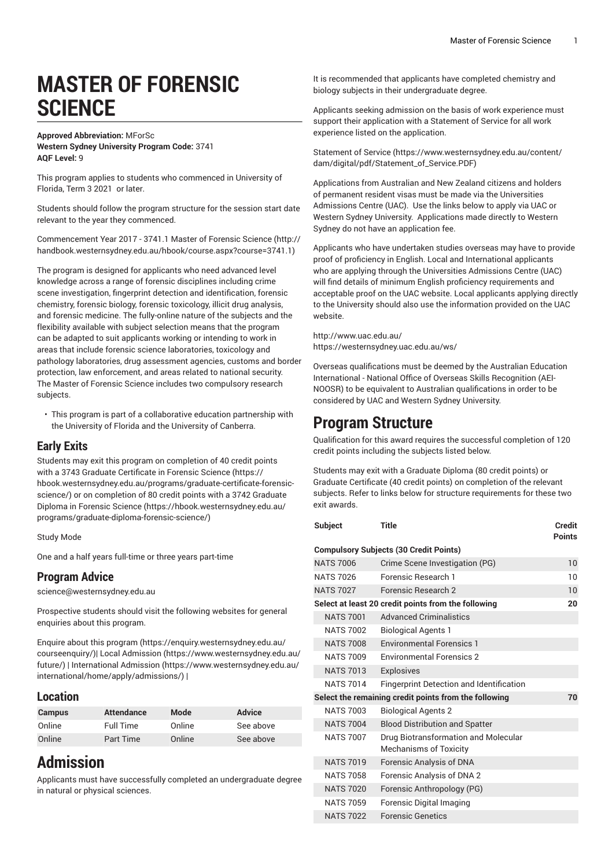# **MASTER OF FORENSIC SCIENCE**

#### **Approved Abbreviation:** MForSc **Western Sydney University Program Code:** 3741 **AQF Level:** 9

This program applies to students who commenced in University of Florida, Term 3 2021 or later.

Students should follow the program structure for the session start date relevant to the year they commenced.

[Commencement](http://handbook.westernsydney.edu.au/hbook/course.aspx?course=3741.1) Year 2017 - 3741.1 Master of Forensic Science ([http://](http://handbook.westernsydney.edu.au/hbook/course.aspx?course=3741.1) [handbook.westernsydney.edu.au/hbook/course.aspx?course=3741.1\)](http://handbook.westernsydney.edu.au/hbook/course.aspx?course=3741.1)

The program is designed for applicants who need advanced level knowledge across a range of forensic disciplines including crime scene investigation, fingerprint detection and identification, forensic chemistry, forensic biology, forensic toxicology, illicit drug analysis, and forensic medicine. The fully-online nature of the subjects and the flexibility available with subject selection means that the program can be adapted to suit applicants working or intending to work in areas that include forensic science laboratories, toxicology and pathology laboratories, drug assessment agencies, customs and border protection, law enforcement, and areas related to national security. The Master of Forensic Science includes two compulsory research subjects.

• This program is part of a collaborative education partnership with the University of Florida and the University of Canberra.

#### **Early Exits**

Students may exit this program on completion of 40 credit points with a 3743 Graduate [Certificate](https://hbook.westernsydney.edu.au/programs/graduate-certificate-forensic-science/) in Forensic Science [\(https://](https://hbook.westernsydney.edu.au/programs/graduate-certificate-forensic-science/) [hbook.westernsydney.edu.au/programs/graduate-certificate-forensic](https://hbook.westernsydney.edu.au/programs/graduate-certificate-forensic-science/)[science/\)](https://hbook.westernsydney.edu.au/programs/graduate-certificate-forensic-science/) or on completion of 80 credit points with a [3742 Graduate](https://hbook.westernsydney.edu.au/programs/graduate-diploma-forensic-science/) Diploma in [Forensic](https://hbook.westernsydney.edu.au/programs/graduate-diploma-forensic-science/) Science [\(https://hbook.westernsydney.edu.au/](https://hbook.westernsydney.edu.au/programs/graduate-diploma-forensic-science/) [programs/graduate-diploma-forensic-science/\)](https://hbook.westernsydney.edu.au/programs/graduate-diploma-forensic-science/)

Study Mode

One and a half years full-time or three years part-time

#### **Program Advice**

[science@westernsydney.edu.au](mailto:science@westernsydney.edu.au)

Prospective students should visit the following websites for general enquiries about this program.

Enquire about this [program \(https://enquiry.westernsydney.edu.au/](https://enquiry.westernsydney.edu.au/courseenquiry/) [courseenquiry/](https://enquiry.westernsydney.edu.au/courseenquiry/))| [Local Admission \(https://www.westernsydney.edu.au/](https://www.westernsydney.edu.au/future/) [future/\)](https://www.westernsydney.edu.au/future/) | [International Admission](https://www.westernsydney.edu.au/international/home/apply/admissions/) ([https://www.westernsydney.edu.au/](https://www.westernsydney.edu.au/international/home/apply/admissions/) [international/home/apply/admissions/](https://www.westernsydney.edu.au/international/home/apply/admissions/)) |

#### **Location**

| <b>Campus</b> | <b>Attendance</b> | Mode   | <b>Advice</b> |
|---------------|-------------------|--------|---------------|
| Online        | Full Time         | Online | See above     |
| Online        | Part Time         | Online | See above     |

# **Admission**

Applicants must have successfully completed an undergraduate degree in natural or physical sciences.

It is recommended that applicants have completed chemistry and biology subjects in their undergraduate degree.

Applicants seeking admission on the basis of work experience must support their application with a Statement of Service for all work experience listed on the application.

[Statement](https://www.westernsydney.edu.au/content/dam/digital/pdf/Statement_of_Service.PDF) of Service [\(https://www.westernsydney.edu.au/content/](https://www.westernsydney.edu.au/content/dam/digital/pdf/Statement_of_Service.PDF) [dam/digital/pdf/Statement\\_of\\_Service.PDF](https://www.westernsydney.edu.au/content/dam/digital/pdf/Statement_of_Service.PDF))

Applications from Australian and New Zealand citizens and holders of permanent resident visas must be made via the Universities Admissions Centre (UAC). Use the links below to apply via UAC or Western Sydney University. Applications made directly to Western Sydney do not have an application fee.

Applicants who have undertaken studies overseas may have to provide proof of proficiency in English. Local and International applicants who are applying through the Universities Admissions Centre (UAC) will find details of minimum English proficiency requirements and acceptable proof on the UAC website. Local applicants applying directly to the University should also use the information provided on the UAC website.

<http://www.uac.edu.au/> <https://westernsydney.uac.edu.au/ws/>

Overseas qualifications must be deemed by the Australian Education International - National Office of Overseas Skills Recognition (AEI-NOOSR) to be equivalent to Australian qualifications in order to be considered by UAC and Western Sydney University.

## **Program Structure**

Qualification for this award requires the successful completion of 120 credit points including the subjects listed below.

Students may exit with a Graduate Diploma (80 credit points) or Graduate Certificate (40 credit points) on completion of the relevant subjects. Refer to links below for structure requirements for these two exit awards.

| Subject                                               | Title                                                                 | <b>Credit</b><br><b>Points</b> |
|-------------------------------------------------------|-----------------------------------------------------------------------|--------------------------------|
|                                                       | <b>Compulsory Subjects (30 Credit Points)</b>                         |                                |
| <b>NATS 7006</b>                                      | Crime Scene Investigation (PG)                                        | 10                             |
| <b>NATS 7026</b>                                      | Forensic Research 1                                                   | 10                             |
| <b>NATS 7027</b>                                      | Forensic Research 2                                                   | 10                             |
|                                                       | Select at least 20 credit points from the following                   | 20                             |
| <b>NATS 7001</b>                                      | <b>Advanced Criminalistics</b>                                        |                                |
| <b>NATS 7002</b>                                      | <b>Biological Agents 1</b>                                            |                                |
| <b>NATS 7008</b>                                      | <b>Environmental Forensics 1</b>                                      |                                |
| <b>NATS 7009</b>                                      | <b>Environmental Forensics 2</b>                                      |                                |
| <b>NATS 7013</b>                                      | <b>Explosives</b>                                                     |                                |
| <b>NATS 7014</b>                                      | Fingerprint Detection and Identification                              |                                |
| Select the remaining credit points from the following | 70                                                                    |                                |
| <b>NATS 7003</b>                                      | <b>Biological Agents 2</b>                                            |                                |
| <b>NATS 7004</b>                                      | <b>Blood Distribution and Spatter</b>                                 |                                |
| <b>NATS 7007</b>                                      | Drug Biotransformation and Molecular<br><b>Mechanisms of Toxicity</b> |                                |
| <b>NATS 7019</b>                                      | <b>Forensic Analysis of DNA</b>                                       |                                |
| <b>NATS 7058</b>                                      | Forensic Analysis of DNA 2                                            |                                |
| <b>NATS 7020</b>                                      | Forensic Anthropology (PG)                                            |                                |
| <b>NATS 7059</b>                                      | Forensic Digital Imaging                                              |                                |
| <b>NATS 7022</b>                                      | <b>Forensic Genetics</b>                                              |                                |